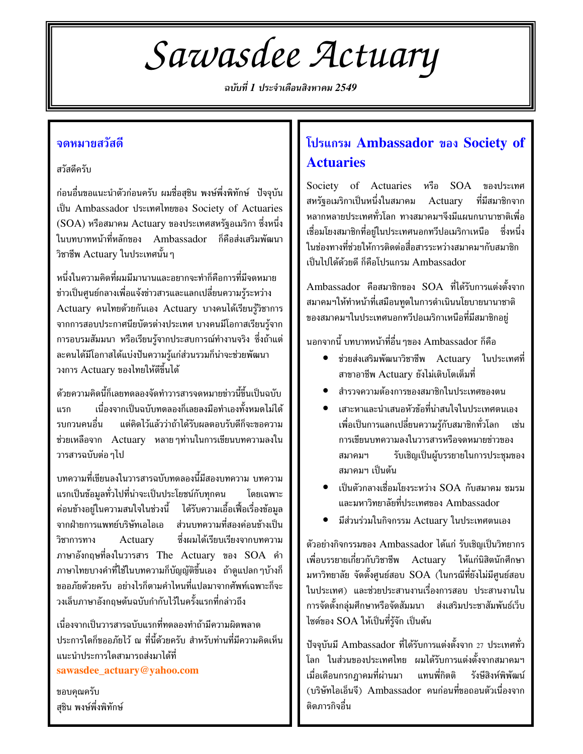# Sawasdee Actuary

ฉบับที่ 1 ประจำเดือนสิงหาคม 2549

## จดหมายสวัสดี

สวัสดีครับ

ก่อนอื่นขอแนะนำตัวก่อนครับ ผมชื่อสุชิน พงษ์พึ่งพิทักษ์ ปัจจุบัน เป็น Ambassador ประเทศไทยของ Society of Actuaries (SOA) หรือสมาคม Actuary ของประเทศสหรัฐอเมริกา ซึ่งหนึ่ง ในบทบาทหน้าที่หลักของ Ambassador ก็คือส่งเสริมพัฒนา วิชาชีพ Actuary ในประเทศนั้น ๆ

หนึ่งในความคิดที่ผมมีมานานและอยากจะทำก็คือการที่มีจดหมาย ข่าวเป็นศูนย์กลางเพื่อแจ้งข่าวสารและแลกเปลี่ยนความรู้ระหว่าง Actuary คนไทยด้วยกันเอง Actuary บางคนได้เรียนรู้วิชาการ จากการสอบประกาศนียบัตรต่างประเทศ บางคนมีโอกาสเรียนรู้จาก การอบรมสัมมนา หรือเรียนรู้จากประสบการณ์ทำงานจริง ซึ่งถ้าแต่ ละคนได้มีโอกาสได้แบ่งปันความรู้แก่ส่วนรวมก็น่าจะช่วยพัฒนา วงการ Actuary ของไทยให้ดีขึ้นได้

ด้วยความคิดนี้ก็เลยทดลองจัดทำวารสารจดหมายข่าวนี้ขึ้นเป็นฉบับ เนื่องจากเป็นฉบับทดลองก็เลยลงมือทำเองทั้งหมดไม่ได้ แรก แต่คิดไว้แล้วว่าถ้าได้รับผลตอบรับดีก็จะขอความ รบกวนคนอื่น ช่วยเหลือจาก Actuary หลายๆท่านในการเขียนบทความลงใน วารสารฉบับต่อ ๆไป

บทความที่เขียนลงในวารสารฉบับทดลองนี้มีสองบทความ บทความ แรกเป็นข้อมูลทั่วไปที่น่าจะเป็นประโยชน์กับทุกคน โดยเฉพาะ ค่อนข้างอย่ในความสนใจในช่วงนี้ ได้รับความเอื้อเฟื้อเรื่องข้อมล จากฝ่ายการแพทย์บริษัทเอไอเอ ้ส่วนบทความที่สองค่อนข้างเป็น ซึ่งผมได้เรียบเรียงจากบทความ วิชาการทาง Actuary ภาษาอังกฤษที่ลงในวารสาร The Actuary ของ SOA คำ ภาษาไทยบางคำที่ใช้ในบทความก็บัญญัติขึ้นเอง ถ้าดูแปลกๆบ้างก็ ขออภัยด้วยครับ อย่างไรก็ตามคำไหนที่แปลมาจากศัพท์เฉพาะก็จะ วงเล็บภาษาอังกถษต้นฉบับกำกับไว้ในครั้งแรกที่กล่าวถึง

เนื่องจากเป็นวารสารฉบับแรกที่ทดลองทำถ้ามีความผิดพลาด ประการใดก็ขออภัยไว้ ณ ที่นี้ด้วยครับ สำหรับท่านที่มีความคิดเห็น แนะนำประการใดสามารถส่งมาได้ที่ sawasdee\_actuary@yahoo.com

ขอบคณครับ ้สุชิน พงษ์พึ่งพิทักษ์

# โปรแกรม Ambassador ของ Society of **Actuaries**

Society of Actuaries หรือ SOA ของประเทศ สหรัฐอเมริกาเป็นหนึ่งในสมาคม Actuary ที่มีสมาชิกจาก หลากหลายประเทศทั่วโลก ทางสมาคมฯจึงมีแผนกนานาชาติเพื่อ เชื่อมโยงสมาชิกที่อย่ในประเทศนอกทวีปอเมริกาเหนือ ซึ่งหนึ่ง ในช่องทางที่ช่วยให้การติดต่อสื่อสารระหว่างสมาคมฯกับสมาชิก เป็นไปได้ด้วยดี ก็คือโปรแกรม Ambassador

Ambassador คือสมาชิกของ SOA ที่ได้รับการแต่งตั้งจาก สมาคมฯให้ทำหน้าที่เสมือนทูตในการดำเนินนโยบายนานาชาติ ของสมาคมฯในประเทศนอกทวีปอเมริกาเหนือที่มีสมาชิกอยู่

นอกจากนี้ บทบาทหน้าที่อื่น ๆของ Ambassador ก็คือ

- ช่วยส่งเสริมพัฒนาวิชาชีพ Actuary ในประเทศที่  $\bullet$ สาขาอาชีพ Actuary ยังไม่เติบโตเต็มที่
- สำรวจความต้องการของสมาชิกในประเทศของตน
- เสาะหาและนำเสนอหัวข้อที่น่าสนใจในประเทศตนเอง เพื่อเป็นการแลกเปลี่ยนความรู้กับสมาชิกทั่วโลก เช่น การเขียนบทความลงในวารสารหรือจดหมายข่าวของ สมาคมฯ รับเชิญเป็นผู้บรรยายในการประชุมของ ้สมาคมฯ เป็นต้น
- เป็นตัวกลางเชื่อมโยงระหว่าง SOA กับสมาคม ชมรม  $\bullet$ และมหาวิทยาลัยที่ประเทศของ Ambassador
- มีส่วนร่วมในกิจกรรม Actuary ในประเทศตนเอง

ตัวอย่างกิจกรรมของ Ambassador ได้แก่ รับเชิญเป็นวิทยากร เพื่อบรรยายเกี่ยวกับวิชาชีพ Actuary ให้แก่นิสิตนักศึกษา มหาวิทยาลัย จัดตั้งศูนย์สอบ SOA (ในกรณีที่ยังไม่มีศูนย์สอบ ในประเทศ) และช่วยประสานงานเรื่องการสอบ ประสานงานใน การจัดตั้งกลุ่มศึกษาหรือจัดสัมมนา ส่งเสริมประชาสัมพันธ์เว็บ ไซด์ของ SOA ให้เป็นที่รู้จัก เป็นต้น

ปัจจุบันมี Ambassador ที่ได้รับการแต่งตั้งจาก 27 ประเทศทั่ว โลก ในส่วนของประเทศไทย ผมได้รับการแต่งตั้งจากสมาคมฯ เมื่อเดือนกรกฎาคมที่ผ่านมา แทนพี่กิตติ รังษีสิงห์พิพัฒน์ (บริษัทไอเอ็นจี) Ambassador คนก่อนที่ขอถอนตัวเนื่องจาก ติดภารกิจอื่น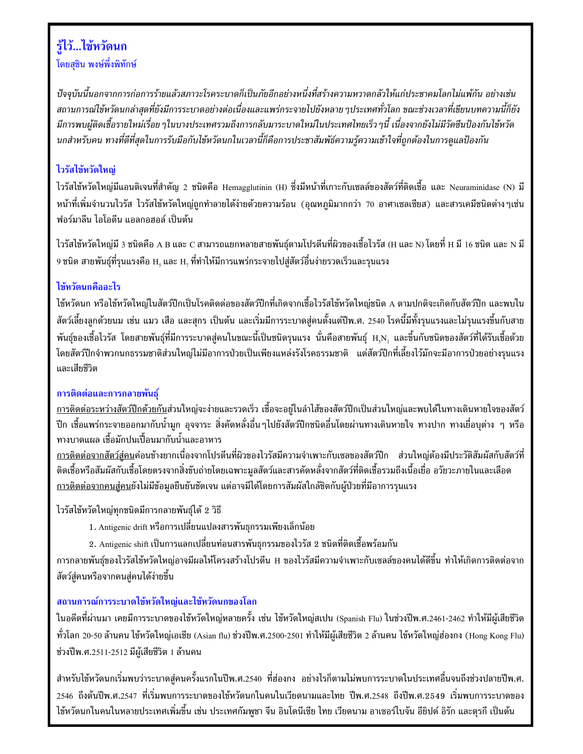## รู้ไว้...ไข้หวัดนก โดยสุชิน พงษ์พึ่งพิทักษ์

ปัจจุบันนี้นอกจากการก่อการร้ายแล้วสภาวะโรคระบาดก็เป็นภัยอีกอย่างหนึ่งที่สร้างความหวาดกลัวให้แก่ประชาคมโลกไม่แพ้กัน อย่างเช่น ิสถานการณ์ไข้หวัดนกล่าสุดที่ยังมีการระบาดอย่างต่อเนื่องและแพร่กระจายไปยังหลาย ๆประเทศทั่วโลก ขณะช่วงเวลาที่เขียนบทความนี้ก็ยัง มีการพบผู้ติดเชื้อรายใหม่เรื่อย ๆในบางประเทศรวมถึงการกลับมาระบาดใหม่ในประเทศไทยเร็ว ๆนี้ เนื่องจากยังไม่มีวัคซีนป้องกันไข้หวัด นกสำหรับคน ทางที่ดีที่สุดในการรับมือกับไข้หวัดนกในเวลานี้ก็คือการประชาสัมพัธ์ความรู้ความเข้าใจที่ถูกต้องในการดูแลป้องกัน

## ไวรัสไข้หวัดใหญ่

ไวรัสไข้หวัดใหญ่มีแอนติเจนที่สำคัญ 2 ชนิดคือ Hemagglutinin (H) ซึ่งมีหน้าที่เกาะกับเซลล์ของสัตว์ที่ติดเชื้อ และ Neuraminidase (N) มี หน้าที่เพิ่มจำนวนไวรัส ไวรัสไข้หวัดใหญ่ถูกทำลายได้ง่ายด้วยความร้อน (อุณหภูมิมากกว่า 70 อาศาเซลเซียส) และสารเคมีชนิดต่างๆเช่น ฟอร์มาลีน ไอโอดีน แอลกอฮอล์ เป็นต้น

ไวรัสไข้หวัดใหญ่มี 3 ชนิดคือ A B และ C สามารถแยกหลายสายพันธุ์ตามโปรตีนที่ผิวของเชื้อไวรัส (H และ N) โดยที่ H มี 16 ชนิด และ N มี 9 ชนิด สายพันธุ์ที่รุนแรงคือ H.ุ และ H.ุ ที่ทำให้มีการแพร่กระจายไปสู่สัตว์อื่นง่ายรวดเร็วและรุนแรง

## ไข้หวัดนกคืออะไร

ไข้หวัดนก หรือไข้หวัดใหญ่ในสัตว์ปีกเป็นโรคติดต่อของสัตว์ปีกที่เกิดจากเชื้อไวรัสไข้หวัดใหญ่ชนิด A ตามปกติจะเกิดกับสัตว์ปีก และพบใน สัตว์เลี้ยงลูกด้วยนม เช่น แมว เสือ และสุกร เป็นต้น และเริ่มมีการระบาดสู่คนตั้งแต่ปีพ.ศ. 2540 โรคนี้มีทั้งรุนแรงและไม่รุนแรงขึ้นกับสาย พันธุ์ของเชื้อไวรัส โดยสายพันธุ์ที่มีการระบาดสู่คนในขณะนี้เป็นชนิดรุนแรง นั่นคือสายพันธุ์ H.N. และขึ้นกับชนิดของสัตว์ที่ได้รับเชื้อด้วย โดยสัตว์ปีกจำพวกนกธรรมชาติส่วนใหญ่ไม่มีอาการป่วยเป็นเพียงแหล่งรังโรคธรรมชาติ แต่สัตว์ปีกที่เลี้ยงไว้มักจะมีอาการป่วยอย่างรุนแรง และเสียชีวิต

## การติดต่อและการกลายพันธ์

<u>การติดต่อระหว่างสัตว์ปีกด้วยกัน</u>ส่วนใหญ่จะง่ายและรวดเร็ว เชื้อจะอยู่ในลำไส้ของสัตว์ปีกเป็นส่วนใหญ่และพบได้ในทางเดินหายใจของสัตว์ ปีก เชื้อแพร่กระจายออกมากับน้ำมูก อุจจาระ สิ่งคัดหลั่งอื่นๆไปยังสัตว์ปีกชนิดอื่นโดยผ่านทางเดินหายใจ ทางปาก ทางเยื่อบุต่าง ๆ หรือ ทางบาดแผล เชื้อมักปนเปื้อนมากับน้ำและอาหาร

<u>การติดต่อจากสัตว์สู่คน</u>ค่อนข้างยากเนื่องจากโปรตีนที่ผิวของไวรัสมีความจำเพาะกับเซลของสัตว์ปีก ส่วนใหญ่ต้องมีประวัติสัมผัสกับสัตว์ที่ ติดเชื้อหรือสัมผัสกับเชื้อโดยตรงจากสิ่งขับถ่ายโดยเฉพาะมูลสัตว์และสารคัดหลั่งจากสัตว์ที่ติดเชื้อรวมถึงเนื้อเยื่อ อวัยวะภายในและเลือด <u>การติดต่อจากคนสู่คน</u>ยังไม่มีข้อมูลยืนยันชัดเจน แต่อาจมีได้โดยการสัมผัสใกล้ชิดกับผู้ป่วยที่มีอาการรุนแรง

ไวรัสไข้หวัดใหญ่ทุกชนิดมีการกลายพันธุ์ได้ 2 วิธี

- 1. Antigenic drift หรือการเปลี่ยนแปลงสารพันธุกรรมเพียงเล็กน้อย
- 2. Antigenic shift เป็นการแลกเปลี่ยนท่อนสารพันธุกรรมของไวรัส 2 ชนิดที่ติดเชื้อพร้อมกัน

การกลายพันธุ์ของไวรัสไข้หวัดใหญ่อาจมีผลให้โครงสร้างโปรตีน H ของไวรัสมีความจำเพาะกับเซลล์ของคนได้ดีขึ้น ทำให้เกิดการติดต่อจาก สัตว์สู่คนหรือจากคนสู่คนได้ง่ายขึ้น

## สถานการณ์การระบาดไข้หวัดใหญ่และไข้หวัดนกของโลก

ในอดีตที่ผ่านมา เคยมีการระบาดของไข้หวัดใหญ่หลายครั้ง เช่น ไข้หวัดใหญ่สเปน (Spanish Flu) ในช่วงปีพ.ศ.2461-2462 ทำให้มีผู้เสียชีวิต ทั่วโลก 20-50 ล้านคน ไข้หวัดใหญ่เอเชีย (Asian flu) ช่วงปีพ.ศ.2500-2501 ทำให้มีผู้เสียชีวิต 2 ล้านคน ไข้หวัดใหญ่ฮ่องกง (Hong Kong Flu) ช่วงปีพ.ศ.2511-2512 มีผู้เสียชีวิต 1 ล้านคน

้สำหรับไข้หวัดนกเริ่มพบว่าระบาดสู่คนครั้งแรกในปีพ.ศ.2540 ที่ฮ่องกง อย่างไรก็ตามไม่พบการระบาดในประเทศอื่นจนถึงช่วงปลายปีพ.ศ. 2546 ถึงต้นปีพ.ศ.2547 ที่เริ่มพบการระบาดของไข้หวัดนกในคนในเวียดนามและไทย ปีพ.ศ.2548 ถึงปีพ.ศ.2549 เริ่มพบการระบาดของ ไข้หวัดนกในคนในหลายประเทศเพิ่มขึ้น เช่น ประเทศกัมพูชา จีน อินโดนีเซีย ไทย เวียดนาม อาเซอร์ไบจัน อียิปต์ อิรัก และตุรกี เป็นต้น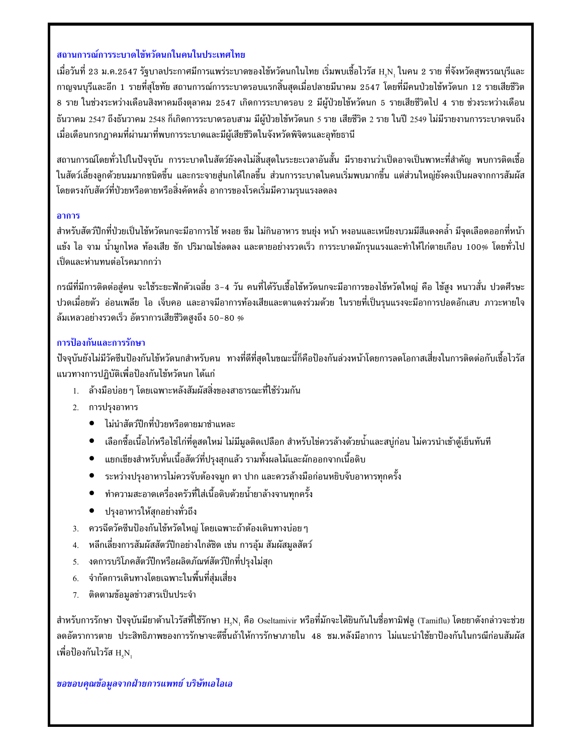#### ิสถานการณ์การระบาดไข้หวัดนกในคนในประเทศไทย

ี เมื่อวันที่ 23 ม.ค.2547 รัฐบาลประกาศมีการแพร่ระบาดของไข้หวัดนกในไทย เริ่มพบเชื้อไวรัส H<sub>.</sub>N. ในคน 2 ราย ที่จังหวัดสุพรรณบุรีและ ีกาญจนบุรีและอีก 1 รายที่สุโขทัย สถานการณ์การระบาดรอบแรกสิ้นสุดเมื่อปลายมีนาคม 2547 โดยที่มีคนป่วยไข้หวัดนก 12 รายเสียชีวิต 8 ราย ในช่วงระหว่างเดือนสิงหาคมถึงตุลาคม 2547 เกิดการระบาดรอบ 2 มีผู้ป่วยไข้หวัดนก 5 รายเสียชีวิตไป 4 ราย ช่วงระหว่างเดือน ธันวาคม 2547 ถึงธันวาคม 2548 ก็เกิดการระบาดรอบสาม มีผู้ป่วยไข้หวัดนก 5 ราย เสียชีวิต 2 ราย ในปี 2549 ไม่มีรายงานการระบาดจนถึง เมื่อเดือนกรกฎาคมที่ผ่านมาที่พบการระบาดและมีผู้เสียชีวิตในจังหวัดพิจิตรและอุทัยธานี

ี่สถานการณ์โดยทั่วไปในปัจจุบัน การระบาดในสัตว์ยังคงไม่สิ้นสุดในระยะเวลาอันสั้น มีรายงานว่าเป็ดอาจเป็นพาหะที่สำคัญ พบการติดเชื้อ ในสัตว์เลี้ยงลูกด้วยนมมากชนิดขึ้น และกระจายสู่นกได้ไกลขึ้น ส่วนการระบาดในคนเริ่มพบมากขึ้น แต่ส่วนใหญ่ยังคงเป็นผลจากการสัมผัส โดยตรงกับสัตว์ที่ป่วยหรือตายหรือสิ่งคัดหลั่ง อาการของโรคเริ่มมีความรุนแรงลดลง

#### อาการ

้สำหรับสัตว์ปีกที่ป่วยเป็นไข้หวัดนกจะมีอาการไข้ หงอย ซึม ไม่กินอาหาร ขนยุ่ง หน้า หงอนและเหนียงบวมมีสีแดงคล้ำ มีจุดเลือดออกที่หน้า แข้ง ไอ จาม น้ำมูกไหล ท้องเสีย ชัก ปริมาณไข่ลดลง และตายอย่างรวดเร็ว การระบาดมักรุนแรงและทำให้ไก่ตายเกือบ 100% โดยทั่วไป เป็ดและห่านทนต่อโรคมากกว่า

กรณีที่มีการติดต่อสู่คน จะใช้ระยะฟักตัวเฉลี่ย 3-4 วัน คนที่ได้รับเชื้อไข้หวัดนกจะมีอาการของไข้หวัดใหญ่ คือ ไข้สูง หนาวสั่น ปวดศีรษะ ี ปวดเมื่อยตัว อ่อนเพลีย ไอ เจ็บคอ และอาจมีอาการท้องเสียและตาแดงร่วมด้วย ในรายที่เป็นรุนแรงจะมีอาการปอดอักเสบ ภาวะหายใจ ล้มเหลวอย่างรวดเร็ว อัตราการเสียชีวิตสูงถึง 50–80 %

#### การป้องกันและการรักษา

้ปัจจุบันยังไม่มีวัคซีนป้องกันไข้หวัดนกสำหรับคน ทางที่ดีที่สุดในขณะนี้ก็คือป้องกันล่วงหน้าโดยการลดโอกาสเสี่ยงในการติดต่อกับเชื้อไวรัส แนวทางการปฏิบัติเพื่อป้องกันไข้หวัดนก ได้แก่

- 1. ล้างมือบ่อย ๆ โดยเฉพาะหลังสัมผัสสิ่งของสาธารณะที่ใช้ร่วมกัน
- 2. การปรุงอาหาร
	- ไม่นำสัตว์ปีกที่ป่วยหรือตายมาชำแหละ
	- เลือกซื้อเนื้อไก่หรือไข่ไก่ที่ดูสดใหม่ ไม่มีมูลติดเปลือก สำหรับไข่ควรล้างด้วยน้ำและสบู่ก่อน ไม่ควรนำเข้าตู้เย็นทันที
	- ่ แยกเขียงสำหรับหั่นเนื้อสัตว์ที่ปรุงสุกแล้ว รามทั้งผลไม้และผักออกจากเนื้อดิบ  $\bullet$
	- ้ระหว่างปรุงอาหารไม่ควรจับต้องจมูก ตา ปาก และควรล้างมือก่อนหยิบจับอาหารทุกครั้ง  $\bullet$
	- ทำความสะอาดเครื่องครัวที่ใส่เนื้อดิบด้วยน้ำยาล้างจานทุกครั้ง  $\bullet$
	- ปรุงอาหารให้สุกอย่างทั่วถึง  $\bullet$
- 3. ควรฉีดวัคชีนป้องกันไข้หวัดใหญ่ โดยเฉพาะถ้าต้องเดินทางบ่อย ๆ
- ่ หลีกเลี่ยงการสัมผัสสัตว์ปีกอย่างใกล้ชิด เช่น การอุ้ม สัมผัสมูลสัตว์ 4.
- ึงดการบริโภคสัตว์ปีกหรือผลิตภัณฑ์สัตว์ปีกที่ปรุงไม่สุก 5.
- จำกัดการเดินทางโดยเฉพาะในพื้นที่สุ่มเสี่ยง 6.
- ุ ติดตามข้อมูลข่าวสารเป็นประจำ 7.

สำหรับการรักษา ปัจจุบันมียาต้านไวรัสที่ใช้รักษา H.N. คือ Oseltamivir หรือที่มักจะได้ยินกันในชื่อทามิฟลู (Tamiflu) โดยยาดังกล่าวจะช่วย ลดอัตราการตาย ประสิทธิภาพของการรักษาจะดีขึ้นถ้าให้การรักษาภายใน 48 ชม.หลังมีอาการ ไม่แนะนำใช้ยาป้องกันในกรณีก่อนสัมผัส เพื่อป้องกันไวรัส H.N.

#### ขอขอบคุณข้อมูลจากฝ่ายการแพทย์ บริษัทเอไอเอ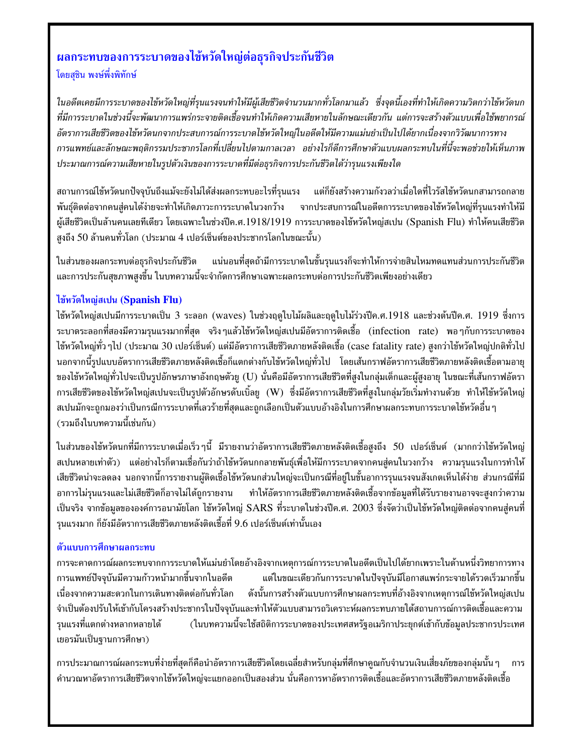## นลกระทบของการระบาดของไข้หวัดใหญ่ต่อธุรกิจประกันชีวิต โดยสชิน พงษ์พึ่งพิทักษ์

ในอดีตเคยมีการระบาดของไข้หวัดใหญ่ที่รุนแรงจนทำให้มีผู้เสียชีวิตจำนวนมากทั่วโลกมาแล้ว ซึ่งจุดนี้เองที่ทำให้เกิดความวิตกว่าไข้หวัดนก ที่มีการระบาดในช่วงนี้จะพัฒนาการแพร่กระจายติดเชื้อจนทำให้เกิดความเสียหายในลักษณะเดียวกัน แต่การจะสร้างตัวแบบเพื่อใช้พยากรณ์ อัตราการเสียชีวิตของไข้หวัดนกจากประสบการณ์การระบาดไข้หวัดใหญ่ในอดีตให้มีความแม่นยำเป็นไปได้ยากเนื่องจากวิวัฒนาการทาง การแพทย์และลักษณะพฤติกรรมประชากรโลกที่เปลี่ยนไปตามกาลเวลา อย่างไรก็ดีการศึกษาตัวแบบผลกระทบในที่นี้จะพอช่วยให้เห็นภาพ ประมาณการณ์ความเสียหายในรูปตัวเงินของการระบาดที่มีต่อธุรกิจการประกันชีวิตได้ว่ารุนแรงเพียงใด

ี่สถานการณ์ไข้หวัดนกปัจจุบันถึงแม้จะยังไม่ได้ส่งผลกระทบอะไรที่รุนแรง แต่ก็ยังสร้างความกังวลว่าเมื่อใดที่ไวรัสไข้หวัดนกสามารถกลาย พันธุ์ติดต่อจากคนสู่คนได้ง่ายจะทำให้เกิดภาวะการระบาดในวงกว้าง จากประสบการณ์ในอดีตการระบาดของไข้หวัดใหญ่ที่รุนแรงทำให้มี ผู้เสียชีวิตเป็นล้านคนเลยทีเดียว โดยเฉพาะในช่วงปีค.ศ.1918/1919 การระบาดของไข้หวัดใหญ่สเปน (Spanish Flu) ทำให้คนเสียชีวิต สูงถึง 50 ล้านคนทั่วโลก (ประมาณ 4 เปอร์เซ็นต์ของประชากรโลกในขณะนั้น)

ในส่วนของผลกระทบต่อธุรกิจประกันชีวิต แน่นอนที่สุดถ้ามีการระบาดในขั้นรุนแรงก็จะทำให้การจ่ายสินไหมทดแทนส่วนการประกันชีวิต และการประกันสุขภาพสูงขึ้น ในบทความนี้จะจำกัดการศึกษาเฉพาะผลกระทบต่อการประกันชีวิตเพียงอย่างเดียว

#### ไข้หวัดใหญ่สเปน (Spanish Flu)

ไข้หวัดใหญ่สเปนมีการระบาดเป็น 3 ระลอก (waves) ในช่วงฤดูใบไม้ผลิและฤดูใบไม้ร่วงปีค.ศ.1918 และช่วงต้นปีค.ศ. 1919 ซึ่งการ ระบาดระลอกที่สองมีความรุนแรงมากที่สุด จริงๆแล้วไข้หวัดใหญ่สเปนมีอัตราการติดเชื้อ (infection rate) พอๆกับการระบาดของ ไข้หวัดใหญ่ทั่ว ๆไป (ประมาณ 30 เปอร์เซ็นต์) แต่มีอัตราการเสียชีวิตภายหลังติดเชื้อ (case fatality rate) สูงกว่าไข้หวัดใหญ่ปกติทั่วไป นอกจากนี้รูปแบบอัตราการเสียชีวิตภายหลังติดเชื้อก็แตกต่างกับไข้หวัดใหญ่ทั่วไป โดยเส้นกราฟอัตราการเสียชีวิตภายหลังติดเชื้อตามอายุ ี ของไข้หวัดใหญ่ทั่วไปจะเป็นรูปอักษรภาษาอังกฤษตัวยู (U) นั่นคือมีอัตราการเสียชีวิตที่สูงในกลุ่มเด็กและผู้สูงอายุ ในขณะที่เส้นกราฟอัตรา การเสียชีวิตของไข้หวัดใหญ่สเปนจะเป็นรูปตัวอักษรดับเบิ้ลยู (W) ซึ่งมีอัตราการเสียชีวิตที่สูงในกลุ่มวัยเริ่มทำงานด้วย ทำให้ไข้หวัดใหญ่ ี่สเปนมักจะถูกมองว่าเป็นกรณีการระบาดที่เลวร้ายที่สุดและถูกเลือกเป็นตัวแบบอ้างอิงในการศึกษาผลกระทบการระบาดไข้หวัดอื่น ๆ (รวมถึงในบทความนี้เช่นกัน)

ในส่วนของไข้หวัดนกที่มีการระบาดเมื่อเร็ว ๆนี้ มีรายงานว่าอัตราการเสียชีวิตภายหลังติดเชื้อสูงถึง 50 เปอร์เซ็นต์ (มากกว่าไข้หวัดใหญ่ ี่สเปนหลายเท่าตัว) แต่อย่างไรก็ตามเชื่อกันว่าถ้าไข้หวัดนกกลายพันธุ์เพื่อให้มีการระบาดจากคนสู่คนในวงกว้าง ความรุนแรงในการทำให้ เสียชีวิตน่าจะลดลง นอกจากนี้การรายงานผู้ติดเชื้อไข้หวัดนกส่วนใหญ่จะเป็นกรณีที่อยู่ในขั้นอาการรุนแรงจนสังเกตเห็นได้ง่าย ส่วนกรณีที่มี ้อาการไม่รุนแรงและไม่เสียชีวิตก็อาจไม่ได้ถูกรายงาน ทำให้อัตราการเสียชีวิตภายหลังติดเชื้อจากข้อมูลที่ได้รับรายงานอาจจะสูงกว่าความ ้เป็นจริง จากข้อมูลขององค์การอนามัยโลก ไข้หวัดใหญ่ SARS ที่ระบาดในช่วงปีค.ศ. 2003 ซึ่งจัดว่าเป็นไข้หวัดใหญ่ติดต่อจากคนสู่คนที่ รุนแรงมาก ก็ยังมีอัตราการเสียชีวิตภายหลังติดเชื้อที่ 9.6 เปอร์เซ็นต์เท่านั้นเอง

#### ตัวแบบการศึกษาผลกระทบ

การจะคาดการณ์ผลกระทบจากการระบาดให้แม่นยำโดยอ้างอิงจากเหตุการณ์การระบาดในอดีตเป็นไปได้ยากเพราะในด้านหนึ่งวิทยาการทาง การแพทย์ปัจจบันมีความก้าวหน้ามากขึ้นจากในอดีต แต่ในขณะเดียวกันการระบาดในปัจจุบันมีโอกาสแพร่กระจายได้รวดเร็วมากขึ้น ดังนั้นการสร้างตัวแบบการศึกษาผลกระทบที่อ้างอิงจากเหตุการณ์ไข้หวัดใหญ่สเปน เนื่องจากความสะดวกในการเดินทางติดต่อกันทั่วโลก จำเป็นต้องปรับให้เข้ากับโครงสร้างประชากรในปัจจบันและทำให้ตัวแบบสามารถวิเคราะห์ผลกระทบภายใต้สถานการณ์การติดเชื้อและความ (ในบทความนี้จะใช้สถิติการระบาดของประเทศสหรัฐอเมริกาประยุกต์เข้ากับข้อมูลประชากรประเทศ รนแรงที่แตกต่างหลากหลายได้ เยอรมันเป็นฐานการศึกษา)

ี การประมาณการณ์ผลกระทบที่ง่ายที่สุดก็คือนำอัตราการเสียชีวิตโดยเฉลี่ยสำหรับกลุ่มที่ศึกษาคูณกับจำนวนเงินเสี่ยงภัยของกลุ่มนั้น ๆ การ ้คำนวณหาอัตราการเสียชีวิตจากไข้หวัดใหญ่จะแยกออกเป็นสองส่วน นั่นคือการหาอัตราการติดเชื้อและอัตราการเสียชีวิตภายหลังติดเชื้อ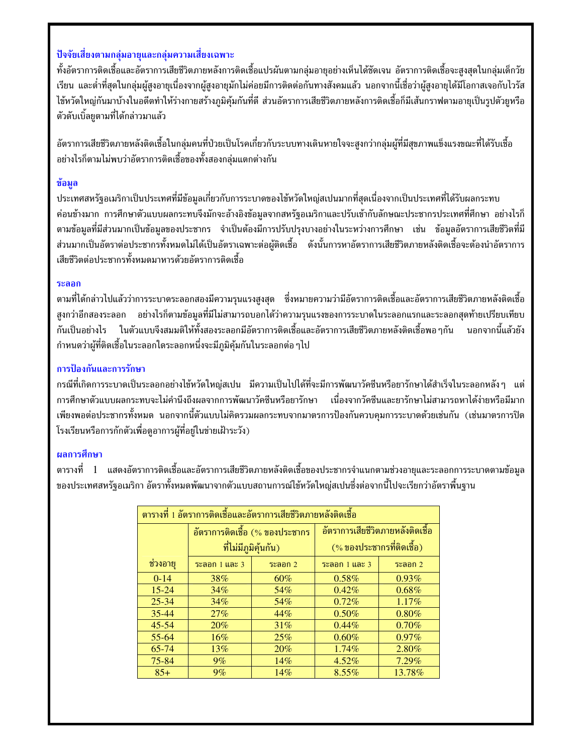## ปัจจัยเสี่ยงตามกล่มอายและกล่มความเสี่ยงเฉพาะ

ทั้งอัตราการติดเชื้อและอัตราการเสียชีวิตภายหลังการติดเชื้อแปรผันตามกล่มอายอย่างเห็นได้ชัดเจน อัตราการติดเชื้อจะสงสดในกล่มเด็กวัย เรียน และต่ำที่สุดในกลุ่มผู้สูงอายุเนื่องจากผู้สูงอายุมักไม่ค่อยมีการติดต่อกันทางสังคมแล้ว นอกจากนี้เชื่อว่าผู้สูงอายุได้มีโอกาสเจอกับไวรัส ไข้หวัดใหญ่กันมาบ้างในอดีตทำให้ร่างกายสร้างภูมิคุ้มกันที่ดี ส่วนอัตราการเสียชีวิตภายหลังการติดเชื้อก็มีเส้นกราฟตามอายุเป็นรูปตัวยูหรือ ตัวดับเบิ้ลยตามที่ได้กล่าวมาแล้ว

้อัตราการเสียชีวิตภายหลังติดเชื้อในกลุ่มคนที่ป่วยเป็นโรคเกี่ยวกับระบบทางเดินหายใจจะสูงกว่ากลุ่มผู้ที่มีสุขภาพแข็งแรงขณะที่ได้รับเชื้อ ้อย่างไรก็ตามไม่พบว่าอัตราการติดเชื้อของทั้งสองกลุ่มแตกต่างกัน

#### ข้อมล

ประเทศสหรัฐอเมริกาเป็นประเทศที่มีข้อมูลเกี่ยวกับการระบาดของไข้หวัดใหญ่สเปนมากที่สุดเนื่องจากเป็นประเทศที่ได้รับผลกระทบ ค่อนข้างมาก การศึกษาตัวแบบผลกระทบจึงมักจะอ้างอิงข้อมูลจากสหรัฐอเมริกาและปรับเข้ากับลักษณะประชากรประเทศที่ศึกษา อย่างไรก็ ตามข้อมูลที่มีส่วนมากเป็นข้อมูลของประชากร จำเป็นต้องมีการปรับปรุงบางอย่างในระหว่างการศึกษา เช่น ข้อมูลอัตราการเสียชีวิตที่มี ี่ส่วนมากเป็นอัตราต่อประชากรทั้งหมดไม่ได้เป็นอัตราเฉพาะต่อผู้ติดเชื้อ ดังนั้นการหาอัตราการเสียชีวิตภายหลังติดเชื้อจะต้องนำอัตราการ เสียชีวิตต่อประชากรทั้งหมดมาหารด้วยอัตราการติดเชื้อ

#### ระลอก

ีตามที่ได้กล่าวไปแล้วว่าการระบาดระลอกสองมีความรนแรงสงสด ซึ่งหมายความว่ามีอัตราการติดเชื้อและอัตราการเสียชีวิตภายหลังติดเชื้อ สูงกว่าอีกสองระลอก อย่างไรก็ตามข้อมูลที่มีไม่สามารถบอกได้ว่าความรุนแรงของการระบาดในระลอกแรกและระลอกสุดท้ายเปรียบเทียบ กันเป็นอย่างไร ในตัวแบบจึงสมมติให้ทั้งสองระลอกมีอัตราการติดเชื้อและอัตราการเสียชีวิตภายหลังติดเชื้อพอ ๆกัน นอกจากนี้แล้วยัง ้กำหนดว่าผู้ที่ติดเชื้อในระลอกใดระลอกหนึ่งจะมีภูมิคุ้มกันในระลอกต่อ ๆไป

## การป้องกันและการรักษา

กรณีที่เกิดการระบาดเป็นระลอกอย่างไข้หวัดใหญ่สเปน มีความเป็นไปได้ที่จะมีการพัฒนาวัคซีนหรือยารักษาได้สำเร็จในระลอกหลังๆ แต่ การศึกษาตัวแบบผลกระทบจะไม่คำนึงถึงผลจากการพัฒนาวัคซีนหรือยารักษา ้ เนื่องจากวัคซีนและยารักษาไม่สามารถหาได้ง่ายหรือมีมาก เพียงพอต่อประชากรทั้งหมด นอกจากนี้ตัวแบบไม่คิดรวมผลกระทบจากมาตรการป้องกันควบคุมการระบาดด้วยเช่นกัน (เช่นมาตรการปิด โรงเรียนหรือการกักตัวเพื่อดูอาการผู้ที่อยู่ในข่ายเฝ้าระวัง)

## ผลการศึกษา

ี่ ตารางที่ 1 แสดงอัตราการติดเชื้อและอัตราการเสียชีวิตภายหลังติดเชื้อของประชากรจำแนกตามช่วงอายุและระลอกการระบาดตามข้อมูล ของประเทศสหรัฐอเมริกา อัตราทั้งหมดพัฒนาจากตัวแบบสถานการณ์ไข้หวัดใหญ่สเปนซึ่งต่อจากนี้ไปจะเรียกว่าอัตราพื้นฐาน

| ี่ ตารางที่ 1 อัตราการติดเชื้อและอัตราการเสียชีวิตภายหลังติดเชื้อ |                                |         |                                   |           |  |  |  |
|-------------------------------------------------------------------|--------------------------------|---------|-----------------------------------|-----------|--|--|--|
|                                                                   | อัตราการติดเชื้อ (% ของประชากร |         | ้อัตราการเสียชีวิตภายหลังติดเชื้อ |           |  |  |  |
|                                                                   | ที่ไม่มีภูมิคุ้นกัน)           |         | (% ของประชากรที่ติดเชื้อ)         |           |  |  |  |
| ช่วงอายุ                                                          | ระลอก $1$ และ $3$              | ระลอก 2 | ระลอก $1$ และ $3$                 | ระลอก $2$ |  |  |  |
| $0 - 14$                                                          | 38%                            | 60%     | 0.58%                             | $0.93\%$  |  |  |  |
| $15 - 24$                                                         | $34\%$                         | 54%     | 0.42%                             | $0.68\%$  |  |  |  |
| $25 - 34$                                                         | 34%                            | 54%     | 0.72%                             | 1.17%     |  |  |  |
| $35 - 44$                                                         | 27%                            | 44%     | 0.50%                             | $0.80\%$  |  |  |  |
| $45 - 54$                                                         | 20%                            | 31%     | 0.44%                             | 0.70%     |  |  |  |
| 55-64                                                             | 16%                            | 25%     | 0.60%                             | $0.97\%$  |  |  |  |
| 65-74                                                             | 13%                            | 20%     | 1.74%                             | 2.80%     |  |  |  |
| 75-84                                                             | $9\%$                          | $14\%$  | $4.52\%$                          | $7.29\%$  |  |  |  |
| $85+$                                                             | 9%                             | 14%     | $8.55\%$                          | 13.78%    |  |  |  |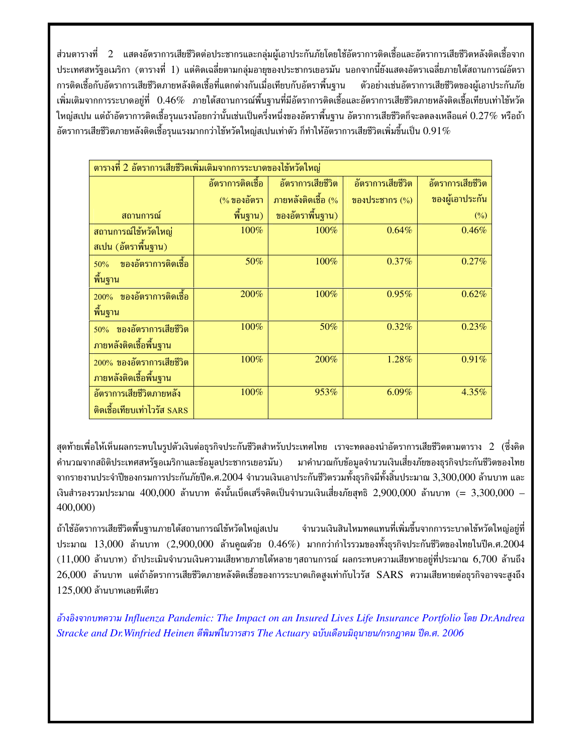ี่ส่วนตารางที่ 2 แสดงอัตราการเสียชีวิตต่อประชากรและกล่มผ้เอาประกันภัยโดยใช้อัตราการติดเชื้อและอัตราการเสียชีวิตหลังติดเชื้อจาก ี ประเทศสหรัฐอเมริกา (ตารางที่ 1) แต่คิดเฉลี่ยตามกลุ่มอายุของประชากรเยอรมัน นอกจากนี้ยังแสดงอัตราเฉลี่ยภายใต้สถานการณ์อัตรา การติดเชื้อกับอัตราการเสียชีวิตภายหลังติดเชื้อที่แตกต่างกันเมื่อเทียบกับอัตราพื้นฐาน ตัวอย่างเช่นอัตราการเสียชีวิตของผ้เอาประกันภัย เพิ่มเติมจากการระบาดอยู่ที่  $0.46\%$  ภายใต้สถานการณ์พื้นฐานที่มีอัตราการติดเชื้อและอัตราการเสียชีวิตภายหลังติดเชื้อเทียบเท่าไข้หวัด ใหญ่สเปน แต่ถ้าอัตราการติดเชื้อรุนแรงน้อยกว่านั้นเช่นเป็นครึ่งหนึ่งของอัตราพื้นฐาน อัตราการเสียชีวิตก็จะลดลงเหลือแค่  $0.27\%$  หรือถ้า อัตราการเสียชีวิตภายหลังติดเชื้อรุนแรงมากกว่าไข้หวัดใหญ่สเปนเท่าตัว ก็ทำให้อัตราการเสียชีวิตเพิ่มขึ้นเป็น  $0.91\%$ 

| ี่ตารางที่ 2 อัตราการเสียชีวิตเพิ่มเติมจากการระบาดของไข้หวัดใหญ่ |                  |                    |                   |                   |  |  |  |
|------------------------------------------------------------------|------------------|--------------------|-------------------|-------------------|--|--|--|
|                                                                  | อัตราการติดเชื้อ | อัตราการเสียชีวิต  | อัตราการเสียชีวิต | อัตราการเสียชีวิต |  |  |  |
|                                                                  | (%ของอัตรา       | ภายหลังติดเชื้อ (% | ของประชากร (%)    | ของผู้เอาประกัน   |  |  |  |
| ิสถานการณ์                                                       | พื้นฐาน)         | ของอัตราพื้นฐาน)   |                   | $(\%)$            |  |  |  |
| สถานการณ์ไข้หวัดใหญ่                                             | 100%             | 100%               | 0.64%             | 0.46%             |  |  |  |
| สเปน (อัตราพื้นฐาน)                                              |                  |                    |                   |                   |  |  |  |
| ของอัตราการติดเชื้อ<br>50%                                       | 50%              | 100%               | 0.37%             | 0.27%             |  |  |  |
| พื้นฐาน                                                          |                  |                    |                   |                   |  |  |  |
| ของอัตราการติดเชื้อ<br>$200\%$                                   | 200%             | 100%               | 0.95%             | 0.62%             |  |  |  |
| พื้นฐาน                                                          |                  |                    |                   |                   |  |  |  |
| ของอัตราการเสียชีวิต<br>50%                                      | 100%             | 50%                | 0.32%             | 0.23%             |  |  |  |
| ภายหลังติดเชื้อพื้นฐาน                                           |                  |                    |                   |                   |  |  |  |
| 200% ของอัตราการเสียชีวิต                                        | 100%             | 200%               | 1.28%             | 0.91%             |  |  |  |
| ภายหลังติดเชื้อพื้นฐาน                                           |                  |                    |                   |                   |  |  |  |
| อัตราการเสียชีวิตภายหลัง                                         | 100%             | 953%               | $6.09\%$          | 4.35%             |  |  |  |
| ติดเชื้อเทียบเท่าไวรัส SARS                                      |                  |                    |                   |                   |  |  |  |

สุดท้ายเพื่อให้เห็นผลกระทบในรูปตัวเงินต่อธุรกิจประกันชีวิตสำหรับประเทศไทย เราจะทดลองนำอัตราการเสียชีวิตตามตาราง 2 (ซึ่งคิด ้คำนวณจากสถิติประเทศสหรัฐอเมริกาและข้อมูลประชากรเยอรมัน) มาคำนวณกับข้อมูลจำนวนเงินเสี่ยงภัยของธุรกิจประกันชีวิตของไทย ิจากรายงานประจำปีของกรมการประกันภัยปีค.ศ.2004 จำนวนเงินเอาประกันชีวิตรวมทั้งธุรกิจมีทั้งสิ้นประมาณ 3,300,000 ล้านบาท และ เงินสำรองรวมประมาณ 400,000 ล้านบาท ดังนั้นเบ็ดเสร็จคิดเป็นจำนวนเงินเสี่ยงภัยสุทธิ 2,900,000 ล้านบาท (= 3,300,000 – 400,000)

ถ้าใช้อัตราการเสียชีวิตพื้นฐานภายใต้สถานการณ์ไข้หวัดใหญ่สเปน จำนวนเงินสินไหมทดแทนที่เพิ่มขึ้นจากการระบาดไข้หวัดใหญ่อยู่ที่ ประมาณ 13,000 ล้านบาท (2,900,000 ล้านคูณด้วย  $0.46\%$ ) มากกว่ากำไรรวมของทั้งธุรกิจประกันชีวิตของไทยในปีค.ศ.2004  $(11,000$  ล้านบาท) ถ้าประเมินจำนวนเงินความเสียหายภายใต้หลายๆสถานการณ์ ผลกระทบความเสียหายอยู่ที่ประมาณ 6,700 ล้านถึง  $26,\!000$  ล้านบาท แต่ถ้าอัตราการเสียชีวิตภายหลังติดเชื้อของการระบาดเกิดสูงเท่ากับไวรัส SARS ความเสียหายต่อธุรกิจอาจจะสูงถึง  $125,000$  ล้านบาทเลยทีเดียว

อ้างอิงจากบทความ Influenza Pandemic: The Impact on an Insured Lives Life Insurance Portfolio โดย Dr.Andrea Stracke and Dr. Winfried Heinen ตีพิมพ์ในวารสาร The Actuary ฉบับเดือนมิถุนายน/กรกฎาคม ปีค.ศ. 2006